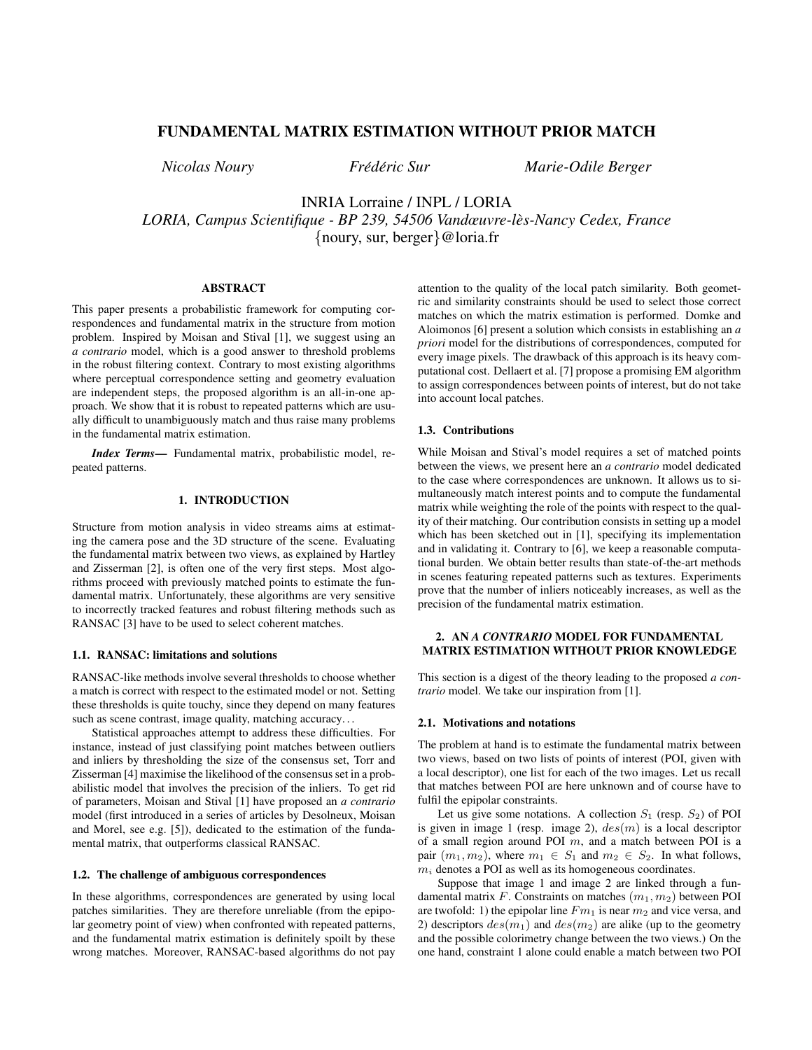# FUNDAMENTAL MATRIX ESTIMATION WITHOUT PRIOR MATCH

*Nicolas Noury Fred´ eric Sur Marie-Odile Berger ´*

INRIA Lorraine / INPL / LORIA *LORIA, Campus Scientifique - BP 239, 54506 Vandœuvre-les-Nancy Cedex, France `* {noury, sur, berger}@loria.fr

### ABSTRACT

This paper presents a probabilistic framework for computing correspondences and fundamental matrix in the structure from motion problem. Inspired by Moisan and Stival [1], we suggest using an *a contrario* model, which is a good answer to threshold problems in the robust filtering context. Contrary to most existing algorithms where perceptual correspondence setting and geometry evaluation are independent steps, the proposed algorithm is an all-in-one approach. We show that it is robust to repeated patterns which are usually difficult to unambiguously match and thus raise many problems in the fundamental matrix estimation.

*Index Terms*— Fundamental matrix, probabilistic model, repeated patterns.

#### 1. INTRODUCTION

Structure from motion analysis in video streams aims at estimating the camera pose and the 3D structure of the scene. Evaluating the fundamental matrix between two views, as explained by Hartley and Zisserman [2], is often one of the very first steps. Most algorithms proceed with previously matched points to estimate the fundamental matrix. Unfortunately, these algorithms are very sensitive to incorrectly tracked features and robust filtering methods such as RANSAC [3] have to be used to select coherent matches.

### 1.1. RANSAC: limitations and solutions

RANSAC-like methods involve several thresholds to choose whether a match is correct with respect to the estimated model or not. Setting these thresholds is quite touchy, since they depend on many features such as scene contrast, image quality, matching accuracy...

Statistical approaches attempt to address these difficulties. For instance, instead of just classifying point matches between outliers and inliers by thresholding the size of the consensus set, Torr and Zisserman [4] maximise the likelihood of the consensus set in a probabilistic model that involves the precision of the inliers. To get rid of parameters, Moisan and Stival [1] have proposed an *a contrario* model (first introduced in a series of articles by Desolneux, Moisan and Morel, see e.g. [5]), dedicated to the estimation of the fundamental matrix, that outperforms classical RANSAC.

### 1.2. The challenge of ambiguous correspondences

In these algorithms, correspondences are generated by using local patches similarities. They are therefore unreliable (from the epipolar geometry point of view) when confronted with repeated patterns, and the fundamental matrix estimation is definitely spoilt by these wrong matches. Moreover, RANSAC-based algorithms do not pay

attention to the quality of the local patch similarity. Both geometric and similarity constraints should be used to select those correct matches on which the matrix estimation is performed. Domke and Aloimonos [6] present a solution which consists in establishing an *a priori* model for the distributions of correspondences, computed for every image pixels. The drawback of this approach is its heavy computational cost. Dellaert et al. [7] propose a promising EM algorithm to assign correspondences between points of interest, but do not take into account local patches.

### 1.3. Contributions

While Moisan and Stival's model requires a set of matched points between the views, we present here an *a contrario* model dedicated to the case where correspondences are unknown. It allows us to simultaneously match interest points and to compute the fundamental matrix while weighting the role of the points with respect to the quality of their matching. Our contribution consists in setting up a model which has been sketched out in [1], specifying its implementation and in validating it. Contrary to [6], we keep a reasonable computational burden. We obtain better results than state-of-the-art methods in scenes featuring repeated patterns such as textures. Experiments prove that the number of inliers noticeably increases, as well as the precision of the fundamental matrix estimation.

### 2. AN *A CONTRARIO* MODEL FOR FUNDAMENTAL MATRIX ESTIMATION WITHOUT PRIOR KNOWLEDGE

This section is a digest of the theory leading to the proposed *a contrario* model. We take our inspiration from [1].

#### 2.1. Motivations and notations

The problem at hand is to estimate the fundamental matrix between two views, based on two lists of points of interest (POI, given with a local descriptor), one list for each of the two images. Let us recall that matches between POI are here unknown and of course have to fulfil the epipolar constraints.

Let us give some notations. A collection  $S_1$  (resp.  $S_2$ ) of POI is given in image 1 (resp. image 2),  $des(m)$  is a local descriptor of a small region around POI  $m$ , and a match between POI is a pair  $(m_1, m_2)$ , where  $m_1 \in S_1$  and  $m_2 \in S_2$ . In what follows,  $m_i$  denotes a POI as well as its homogeneous coordinates.

Suppose that image 1 and image 2 are linked through a fundamental matrix F. Constraints on matches  $(m_1, m_2)$  between POI are twofold: 1) the epipolar line  $Fm_1$  is near  $m_2$  and vice versa, and 2) descriptors  $des(m_1)$  and  $des(m_2)$  are alike (up to the geometry and the possible colorimetry change between the two views.) On the one hand, constraint 1 alone could enable a match between two POI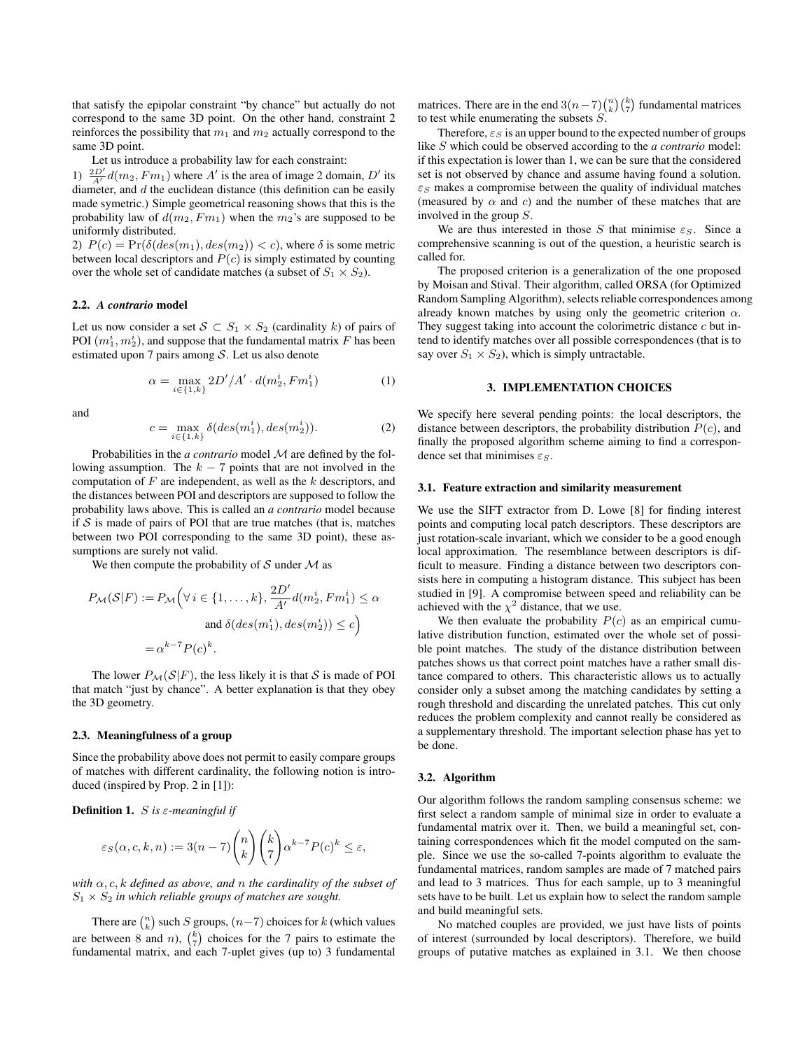that satisfy the epipolar constraint "by chance" but actually do not correspond to the same 3D point. On the other hand, constraint 2 reinforces the possibility that  $m_1$  and  $m_2$  actually correspond to the same 3D point.

Let us introduce a probability law for each constraint:

1)  $\frac{2D'}{A'}d(m_2, Fm_1)$  where A' is the area of image 2 domain, D' its diameter, and  $d$  the euclidean distance (this definition can be easily made symetric.) Simple geometrical reasoning shows that this is the probability law of  $d(m_2, Fm_1)$  when the  $m_2$ 's are supposed to be uniformly distributed.

2)  $P(c) = Pr(\delta (des(m_1), des(m_2)) < c)$ , where  $\delta$  is some metric between local descriptors and  $P(c)$  is simply estimated by counting over the whole set of candidate matches (a subset of  $S_1 \times S_2$ ).

#### 2.2. *A contrario* model

Let us now consider a set  $S \subset S_1 \times S_2$  (cardinality k) of pairs of POI  $(m_1^i, m_2^i)$ , and suppose that the fundamental matrix F has been estimated upon 7 pairs among  $S$ . Let us also denote

$$
\alpha = \max_{i \in \{1, k\}} 2D'/A' \cdot d(m_2^i, Fm_1^i)
$$
 (1)

and

$$
c = \max_{i \in \{1, k\}} \delta(deg(m_1^i), des(m_2^i)).
$$
 (2)

Probabilities in the *a contrario* model M are defined by the following assumption. The  $k - 7$  points that are not involved in the computation of  $F$  are independent, as well as the  $k$  descriptors, and the distances between POI and descriptors are supposed to follow the probability laws above. This is called an *a contrario* model because if  $S$  is made of pairs of POI that are true matches (that is, matches between two POI corresponding to the same 3D point), these assumptions are surely not valid.

We then compute the probability of  $S$  under  $M$  as

$$
P_{\mathcal{M}}(\mathcal{S}|F) := P_{\mathcal{M}}\left(\forall i \in \{1, ..., k\}, \frac{2D'}{A'}d(m_2^i, F m_1^i) \le \alpha\right)
$$
  
and  $\delta(ds(m_1^i), des(m_2^i)) \le c$   

$$
= \alpha^{k-7} P(c)^k.
$$

The lower  $P_{\mathcal{M}}(\mathcal{S}|F)$ , the less likely it is that S is made of POI that match "just by chance". A better explanation is that they obey the 3D geometry.

#### 2.3. Meaningfulness of a group

Since the probability above does not permit to easily compare groups of matches with different cardinality, the following notion is introduced (inspired by Prop. 2 in [1]):

Definition 1. S *is* ε*-meaningful if*

$$
\varepsilon_S(\alpha, c, k, n) := 3(n-7) {n \choose k} {k \choose 7} \alpha^{k-7} P(c)^k \le \varepsilon,
$$

*with* α, c, k *defined as above, and* n *the cardinality of the subset of*  $S_1 \times S_2$  *in which reliable groups of matches are sought.* 

There are  $\binom{n}{k}$  such S groups,  $(n-7)$  choices for k (which values are between 8 and *n*),  $\binom{k}{7}$  choices for the 7 pairs to estimate the fundamental matrix, and each 7-uplet gives (up to) 3 fundamental

matrices. There are in the end  $3(n-7)\binom{n}{k}\binom{k}{7}$  fundamental matrices to test while enumerating the subsets S.

Therefore,  $\epsilon_S$  is an upper bound to the expected number of groups like S which could be observed according to the *a contrario* model: if this expectation is lower than 1, we can be sure that the considered set is not observed by chance and assume having found a solution.  $\varepsilon$ <sub>S</sub> makes a compromise between the quality of individual matches (measured by  $\alpha$  and  $c$ ) and the number of these matches that are involved in the group S.

We are thus interested in those S that minimise  $\varepsilon_S$ . Since a comprehensive scanning is out of the question, a heuristic search is called for.

The proposed criterion is a generalization of the one proposed by Moisan and Stival. Their algorithm, called ORSA (for Optimized Random Sampling Algorithm), selects reliable correspondences among already known matches by using only the geometric criterion  $\alpha$ . They suggest taking into account the colorimetric distance  $c$  but intend to identify matches over all possible correspondences (that is to say over  $S_1 \times S_2$ , which is simply untractable.

#### 3. IMPLEMENTATION CHOICES

We specify here several pending points: the local descriptors, the distance between descriptors, the probability distribution  $P(c)$ , and finally the proposed algorithm scheme aiming to find a correspondence set that minimises  $\varepsilon_S$ .

#### 3.1. Feature extraction and similarity measurement

We use the SIFT extractor from D. Lowe [8] for finding interest points and computing local patch descriptors. These descriptors are just rotation-scale invariant, which we consider to be a good enough local approximation. The resemblance between descriptors is difficult to measure. Finding a distance between two descriptors consists here in computing a histogram distance. This subject has been studied in [9]. A compromise between speed and reliability can be achieved with the  $\chi^2$  distance, that we use.

We then evaluate the probability  $P(c)$  as an empirical cumulative distribution function, estimated over the whole set of possible point matches. The study of the distance distribution between patches shows us that correct point matches have a rather small distance compared to others. This characteristic allows us to actually consider only a subset among the matching candidates by setting a rough threshold and discarding the unrelated patches. This cut only reduces the problem complexity and cannot really be considered as a supplementary threshold. The important selection phase has yet to be done.

### 3.2. Algorithm

Our algorithm follows the random sampling consensus scheme: we first select a random sample of minimal size in order to evaluate a fundamental matrix over it. Then, we build a meaningful set, containing correspondences which fit the model computed on the sample. Since we use the so-called 7-points algorithm to evaluate the fundamental matrices, random samples are made of 7 matched pairs and lead to 3 matrices. Thus for each sample, up to 3 meaningful sets have to be built. Let us explain how to select the random sample and build meaningful sets.

No matched couples are provided, we just have lists of points of interest (surrounded by local descriptors). Therefore, we build groups of putative matches as explained in 3.1. We then choose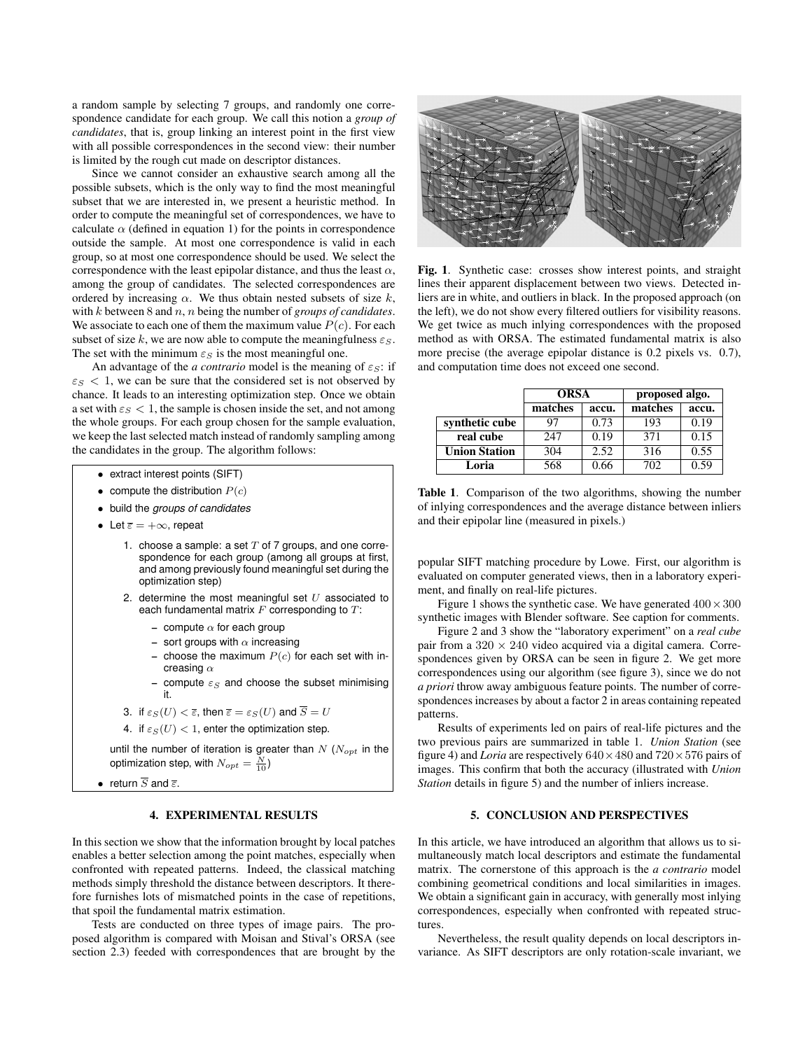a random sample by selecting 7 groups, and randomly one correspondence candidate for each group. We call this notion a *group of candidates*, that is, group linking an interest point in the first view with all possible correspondences in the second view: their number is limited by the rough cut made on descriptor distances.

Since we cannot consider an exhaustive search among all the possible subsets, which is the only way to find the most meaningful subset that we are interested in, we present a heuristic method. In order to compute the meaningful set of correspondences, we have to calculate  $\alpha$  (defined in equation 1) for the points in correspondence outside the sample. At most one correspondence is valid in each group, so at most one correspondence should be used. We select the correspondence with the least epipolar distance, and thus the least  $\alpha$ , among the group of candidates. The selected correspondences are ordered by increasing  $\alpha$ . We thus obtain nested subsets of size k, with k between 8 and n, n being the number of *groups of candidates*. We associate to each one of them the maximum value  $P(c)$ . For each subset of size k, we are now able to compute the meaningfulness  $\varepsilon$ <sub>S</sub>. The set with the minimum  $\varepsilon_S$  is the most meaningful one.

An advantage of the *a contrario* model is the meaning of  $\varepsilon_S$ : if  $\varepsilon_S$  < 1, we can be sure that the considered set is not observed by chance. It leads to an interesting optimization step. Once we obtain a set with  $\varepsilon_S < 1$ , the sample is chosen inside the set, and not among the whole groups. For each group chosen for the sample evaluation, we keep the last selected match instead of randomly sampling among the candidates in the group. The algorithm follows:

- extract interest points (SIFT)
- compute the distribution  $P(c)$
- build the *groups of candidates*
- Let  $\overline{\varepsilon} = +\infty$ , repeat
	- 1. choose a sample: a set  $T$  of 7 groups, and one correspondence for each group (among all groups at first, and among previously found meaningful set during the optimization step)
	- 2. determine the most meaningful set  $U$  associated to each fundamental matrix  $F$  corresponding to  $T$ :
		- compute  $\alpha$  for each group
		- sort groups with  $\alpha$  increasing
		- choose the maximum  $P(c)$  for each set with increasing  $\alpha$
		- compute  $\varepsilon_S$  and choose the subset minimising it.
	- 3. if  $\varepsilon_S(U) < \overline{\varepsilon}$ , then  $\overline{\varepsilon} = \varepsilon_S(U)$  and  $\overline{S} = U$
	- 4. if  $\varepsilon_S(U) < 1$ , enter the optimization step.

until the number of iteration is greater than  $N$  ( $N_{opt}$  in the optimization step, with  $N_{opt}=\frac{N}{10})$ 

• return  $\overline{S}$  and  $\overline{\varepsilon}$ .

# 4. EXPERIMENTAL RESULTS

In this section we show that the information brought by local patches enables a better selection among the point matches, especially when confronted with repeated patterns. Indeed, the classical matching methods simply threshold the distance between descriptors. It therefore furnishes lots of mismatched points in the case of repetitions, that spoil the fundamental matrix estimation.

Tests are conducted on three types of image pairs. The proposed algorithm is compared with Moisan and Stival's ORSA (see section 2.3) feeded with correspondences that are brought by the



Fig. 1. Synthetic case: crosses show interest points, and straight lines their apparent displacement between two views. Detected inliers are in white, and outliers in black. In the proposed approach (on the left), we do not show every filtered outliers for visibility reasons. We get twice as much inlying correspondences with the proposed method as with ORSA. The estimated fundamental matrix is also more precise (the average epipolar distance is 0.2 pixels vs. 0.7), and computation time does not exceed one second.

|                      | <b>ORSA</b> |       | proposed algo. |       |
|----------------------|-------------|-------|----------------|-------|
|                      | matches     | accu. | matches        | accu. |
| synthetic cube       | 97          | 0.73  | 193            | 0.19  |
| real cube            | 247         | 0.19  | 371            | 0.15  |
| <b>Union Station</b> | 304         | 2.52  | 316            | 0.55  |
| Loria                | 568         | 0.66  | 702            | 0.59  |

Table 1. Comparison of the two algorithms, showing the number of inlying correspondences and the average distance between inliers and their epipolar line (measured in pixels.)

popular SIFT matching procedure by Lowe. First, our algorithm is evaluated on computer generated views, then in a laboratory experiment, and finally on real-life pictures.

Figure 1 shows the synthetic case. We have generated  $400 \times 300$ synthetic images with Blender software. See caption for comments.

Figure 2 and 3 show the "laboratory experiment" on a *real cube* pair from a  $320 \times 240$  video acquired via a digital camera. Correspondences given by ORSA can be seen in figure 2. We get more correspondences using our algorithm (see figure 3), since we do not *a priori* throw away ambiguous feature points. The number of correspondences increases by about a factor 2 in areas containing repeated patterns.

Results of experiments led on pairs of real-life pictures and the two previous pairs are summarized in table 1. *Union Station* (see figure 4) and *Loria* are respectively  $640 \times 480$  and  $720 \times 576$  pairs of images. This confirm that both the accuracy (illustrated with *Union Station* details in figure 5) and the number of inliers increase.

# 5. CONCLUSION AND PERSPECTIVES

In this article, we have introduced an algorithm that allows us to simultaneously match local descriptors and estimate the fundamental matrix. The cornerstone of this approach is the *a contrario* model combining geometrical conditions and local similarities in images. We obtain a significant gain in accuracy, with generally most inlying correspondences, especially when confronted with repeated structures.

Nevertheless, the result quality depends on local descriptors invariance. As SIFT descriptors are only rotation-scale invariant, we